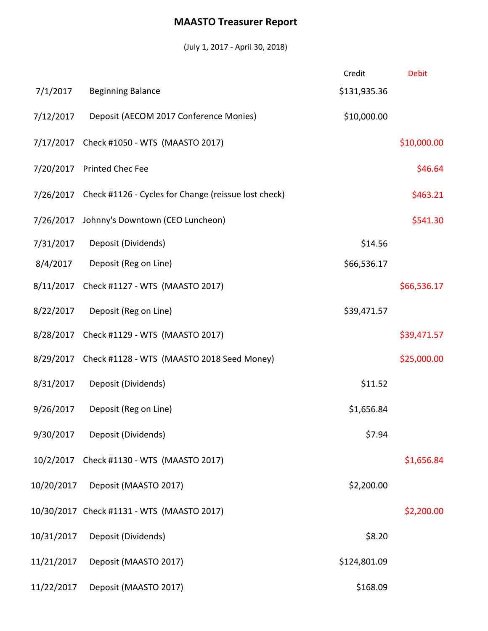## **MAASTO Treasurer Report**

(July 1, 2017 - April 30, 2018)

|            |                                                                | Credit       | <b>Debit</b> |
|------------|----------------------------------------------------------------|--------------|--------------|
| 7/1/2017   | <b>Beginning Balance</b>                                       | \$131,935.36 |              |
| 7/12/2017  | Deposit (AECOM 2017 Conference Monies)                         | \$10,000.00  |              |
|            | 7/17/2017 Check #1050 - WTS (MAASTO 2017)                      |              | \$10,000.00  |
|            | 7/20/2017 Printed Chec Fee                                     |              | \$46.64      |
|            | 7/26/2017 Check #1126 - Cycles for Change (reissue lost check) |              | \$463.21     |
|            | 7/26/2017 Johnny's Downtown (CEO Luncheon)                     |              | \$541.30     |
| 7/31/2017  | Deposit (Dividends)                                            | \$14.56      |              |
| 8/4/2017   | Deposit (Reg on Line)                                          | \$66,536.17  |              |
| 8/11/2017  | Check #1127 - WTS (MAASTO 2017)                                |              | \$66,536.17  |
| 8/22/2017  | Deposit (Reg on Line)                                          | \$39,471.57  |              |
|            | 8/28/2017 Check #1129 - WTS (MAASTO 2017)                      |              | \$39,471.57  |
|            | 8/29/2017 Check #1128 - WTS (MAASTO 2018 Seed Money)           |              | \$25,000.00  |
| 8/31/2017  | Deposit (Dividends)                                            | \$11.52      |              |
| 9/26/2017  | Deposit (Reg on Line)                                          | \$1,656.84   |              |
| 9/30/2017  | Deposit (Dividends)                                            | \$7.94       |              |
|            | 10/2/2017 Check #1130 - WTS (MAASTO 2017)                      |              | \$1,656.84   |
| 10/20/2017 | Deposit (MAASTO 2017)                                          | \$2,200.00   |              |
|            | 10/30/2017 Check #1131 - WTS (MAASTO 2017)                     |              | \$2,200.00   |
| 10/31/2017 | Deposit (Dividends)                                            | \$8.20       |              |
| 11/21/2017 | Deposit (MAASTO 2017)                                          | \$124,801.09 |              |
| 11/22/2017 | Deposit (MAASTO 2017)                                          | \$168.09     |              |